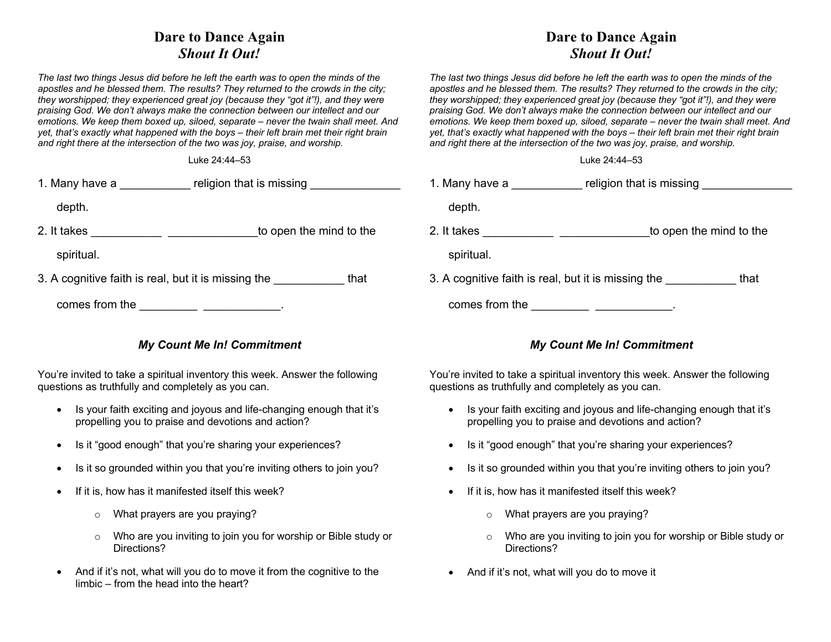## **Dare to Dance Again** *Shout It Out!*

*The last two things Jesus did before he left the earth was to open the minds of the apostles and he blessed them. The results? They returned to the crowds in the city; they worshipped; they experienced great joy (because they "got it"!), and they were praising God. We don't always make the connection between our intellect and our emotions. We keep them boxed up, siloed, separate – never the twain shall meet. And yet, that's exactly what happened with the boys – their left brain met their right brain and right there at the intersection of the two was joy, praise, and worship.*

Luke 24:44–53

| 1. Many have a | religion that is missing |  |
|----------------|--------------------------|--|
| depth.         |                          |  |

2. It takes \_\_\_\_\_\_\_\_\_\_\_\_\_\_\_\_\_\_\_\_\_\_\_\_\_\_\_\_\_\_\_\_\_\_to open the mind to the

spiritual.

3. A cognitive faith is real, but it is missing the that

| comes from the |  |  |
|----------------|--|--|
|                |  |  |

## *My Count Me In! Commitment*

You're invited to take a spiritual inventory this week. Answer the following questions as truthfully and completely as you can.

- Is your faith exciting and joyous and life-changing enough that it's propelling you to praise and devotions and action?
- Is it "good enough" that you're sharing your experiences?
- Is it so grounded within you that you're inviting others to join you?
- If it is, how has it manifested itself this week?
	- o What prayers are you praying?
	- o Who are you inviting to join you for worship or Bible study or Directions?
- And if it's not, what will you do to move it from the cognitive to the limbic – from the head into the heart?